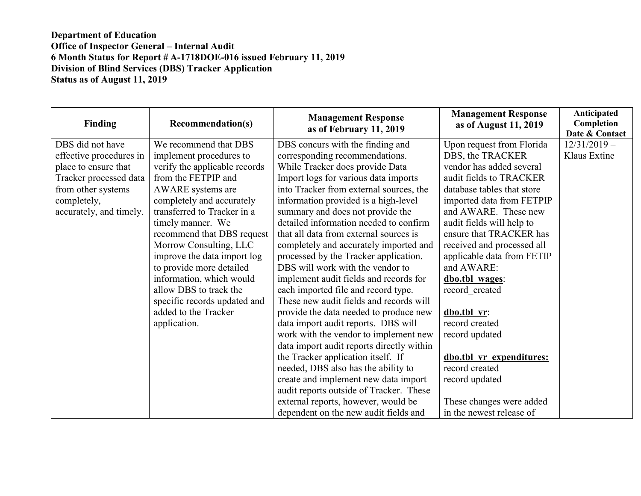| Finding                 | <b>Recommendation(s)</b>      | <b>Management Response</b><br>as of February 11, 2019 | <b>Management Response</b><br>as of August 11, 2019 | <b>Anticipated</b><br>Completion<br>Date & Contact |
|-------------------------|-------------------------------|-------------------------------------------------------|-----------------------------------------------------|----------------------------------------------------|
| DBS did not have        | We recommend that DBS         | DBS concurs with the finding and                      | Upon request from Florida                           | $12/31/2019 -$                                     |
| effective procedures in | implement procedures to       | corresponding recommendations.                        | DBS, the TRACKER                                    | Klaus Extine                                       |
| place to ensure that    | verify the applicable records | While Tracker does provide Data                       | vendor has added several                            |                                                    |
| Tracker processed data  | from the FETPIP and           | Import logs for various data imports                  | audit fields to TRACKER                             |                                                    |
| from other systems      | AWARE systems are             | into Tracker from external sources, the               | database tables that store                          |                                                    |
| completely,             | completely and accurately     | information provided is a high-level                  | imported data from FETPIP                           |                                                    |
| accurately, and timely. | transferred to Tracker in a   | summary and does not provide the                      | and AWARE. These new                                |                                                    |
|                         | timely manner. We             | detailed information needed to confirm                | audit fields will help to                           |                                                    |
|                         | recommend that DBS request    | that all data from external sources is                | ensure that TRACKER has                             |                                                    |
|                         | Morrow Consulting, LLC        | completely and accurately imported and                | received and processed all                          |                                                    |
|                         | improve the data import log   | processed by the Tracker application.                 | applicable data from FETIP                          |                                                    |
|                         | to provide more detailed      | DBS will work with the vendor to                      | and AWARE:                                          |                                                    |
|                         | information, which would      | implement audit fields and records for                | dbo.tbl wages:                                      |                                                    |
|                         | allow DBS to track the        | each imported file and record type.                   | record created                                      |                                                    |
|                         | specific records updated and  | These new audit fields and records will               |                                                     |                                                    |
|                         | added to the Tracker          | provide the data needed to produce new                | dbo.tbl vr:                                         |                                                    |
|                         | application.                  | data import audit reports. DBS will                   | record created                                      |                                                    |
|                         |                               | work with the vendor to implement new                 | record updated                                      |                                                    |
|                         |                               | data import audit reports directly within             |                                                     |                                                    |
|                         |                               | the Tracker application itself. If                    | dbo.tbl vr expenditures:                            |                                                    |
|                         |                               | needed, DBS also has the ability to                   | record created                                      |                                                    |
|                         |                               | create and implement new data import                  | record updated                                      |                                                    |
|                         |                               | audit reports outside of Tracker. These               |                                                     |                                                    |
|                         |                               | external reports, however, would be                   | These changes were added                            |                                                    |
|                         |                               | dependent on the new audit fields and                 | in the newest release of                            |                                                    |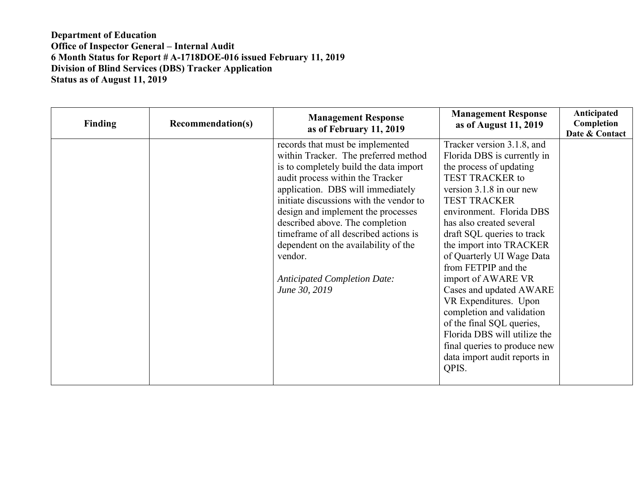| <b>Finding</b> | <b>Recommendation(s)</b> | <b>Management Response</b><br>as of February 11, 2019                                                                                                                                                                                                                                                                                                                                                                                                               | <b>Management Response</b><br>as of August 11, 2019                                                                                                                                                                                                                                                                                                                                                                                                                                                                                                                        | Anticipated<br>Completion<br>Date & Contact |
|----------------|--------------------------|---------------------------------------------------------------------------------------------------------------------------------------------------------------------------------------------------------------------------------------------------------------------------------------------------------------------------------------------------------------------------------------------------------------------------------------------------------------------|----------------------------------------------------------------------------------------------------------------------------------------------------------------------------------------------------------------------------------------------------------------------------------------------------------------------------------------------------------------------------------------------------------------------------------------------------------------------------------------------------------------------------------------------------------------------------|---------------------------------------------|
|                |                          | records that must be implemented<br>within Tracker. The preferred method<br>is to completely build the data import<br>audit process within the Tracker<br>application. DBS will immediately<br>initiate discussions with the vendor to<br>design and implement the processes<br>described above. The completion<br>timeframe of all described actions is<br>dependent on the availability of the<br>vendor.<br><b>Anticipated Completion Date:</b><br>June 30, 2019 | Tracker version 3.1.8, and<br>Florida DBS is currently in<br>the process of updating<br><b>TEST TRACKER to</b><br>version 3.1.8 in our new<br><b>TEST TRACKER</b><br>environment. Florida DBS<br>has also created several<br>draft SQL queries to track<br>the import into TRACKER<br>of Quarterly UI Wage Data<br>from FETPIP and the<br>import of AWARE VR<br>Cases and updated AWARE<br>VR Expenditures. Upon<br>completion and validation<br>of the final SQL queries,<br>Florida DBS will utilize the<br>final queries to produce new<br>data import audit reports in |                                             |
|                |                          |                                                                                                                                                                                                                                                                                                                                                                                                                                                                     | QPIS.                                                                                                                                                                                                                                                                                                                                                                                                                                                                                                                                                                      |                                             |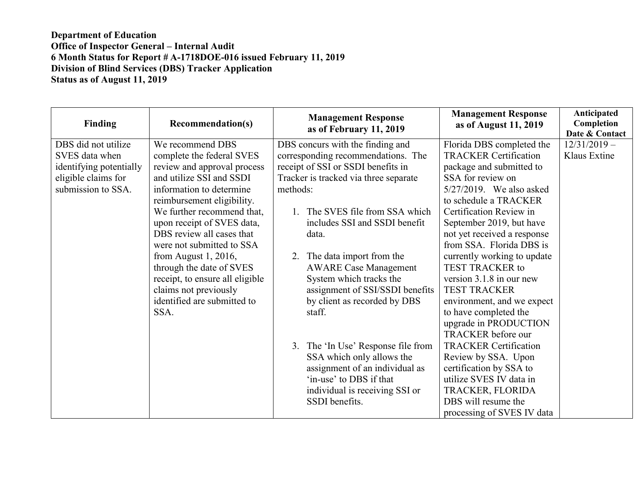| Finding                 | <b>Recommendation(s)</b>        | <b>Management Response</b><br>as of February 11, 2019 | <b>Management Response</b><br>as of August 11, 2019 | Anticipated<br>Completion<br>Date & Contact |
|-------------------------|---------------------------------|-------------------------------------------------------|-----------------------------------------------------|---------------------------------------------|
| DBS did not utilize     | We recommend DBS                | DBS concurs with the finding and                      | Florida DBS completed the                           | $12/31/2019 -$                              |
| SVES data when          | complete the federal SVES       | corresponding recommendations. The                    | <b>TRACKER Certification</b>                        | Klaus Extine                                |
| identifying potentially | review and approval process     | receipt of SSI or SSDI benefits in                    | package and submitted to                            |                                             |
| eligible claims for     | and utilize SSI and SSDI        | Tracker is tracked via three separate                 | SSA for review on                                   |                                             |
| submission to SSA.      | information to determine        | methods:                                              | $5/27/2019$ . We also asked                         |                                             |
|                         | reimbursement eligibility.      |                                                       | to schedule a TRACKER                               |                                             |
|                         | We further recommend that,      | 1. The SVES file from SSA which                       | Certification Review in                             |                                             |
|                         | upon receipt of SVES data,      | includes SSI and SSDI benefit                         | September 2019, but have                            |                                             |
|                         | DBS review all cases that       | data.                                                 | not yet received a response                         |                                             |
|                         | were not submitted to SSA       |                                                       | from SSA. Florida DBS is                            |                                             |
|                         | from August $1, 2016$ ,         | 2. The data import from the                           | currently working to update                         |                                             |
|                         | through the date of SVES        | <b>AWARE Case Management</b>                          | <b>TEST TRACKER to</b>                              |                                             |
|                         | receipt, to ensure all eligible | System which tracks the                               | version 3.1.8 in our new                            |                                             |
|                         | claims not previously           | assignment of SSI/SSDI benefits                       | <b>TEST TRACKER</b>                                 |                                             |
|                         | identified are submitted to     | by client as recorded by DBS                          | environment, and we expect                          |                                             |
|                         | SSA.                            | staff.                                                | to have completed the                               |                                             |
|                         |                                 |                                                       | upgrade in PRODUCTION                               |                                             |
|                         |                                 |                                                       | <b>TRACKER</b> before our                           |                                             |
|                         |                                 | 3. The 'In Use' Response file from                    | <b>TRACKER Certification</b>                        |                                             |
|                         |                                 | SSA which only allows the                             | Review by SSA. Upon                                 |                                             |
|                         |                                 | assignment of an individual as                        | certification by SSA to                             |                                             |
|                         |                                 | 'in-use' to DBS if that                               | utilize SVES IV data in                             |                                             |
|                         |                                 | individual is receiving SSI or                        | TRACKER, FLORIDA                                    |                                             |
|                         |                                 | SSDI benefits.                                        | DBS will resume the                                 |                                             |
|                         |                                 |                                                       | processing of SVES IV data                          |                                             |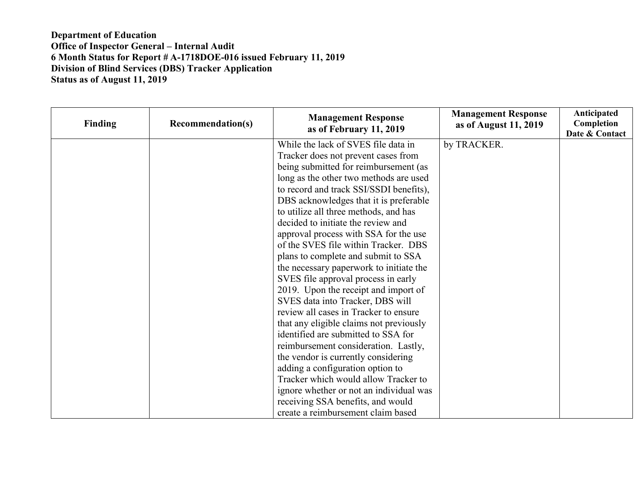| Finding | <b>Recommendation(s)</b> | <b>Management Response</b><br>as of February 11, 2019 | <b>Management Response</b><br>as of August 11, 2019 | Anticipated<br>Completion<br>Date & Contact |
|---------|--------------------------|-------------------------------------------------------|-----------------------------------------------------|---------------------------------------------|
|         |                          | While the lack of SVES file data in                   | by TRACKER.                                         |                                             |
|         |                          | Tracker does not prevent cases from                   |                                                     |                                             |
|         |                          | being submitted for reimbursement (as                 |                                                     |                                             |
|         |                          | long as the other two methods are used                |                                                     |                                             |
|         |                          | to record and track SSI/SSDI benefits),               |                                                     |                                             |
|         |                          | DBS acknowledges that it is preferable                |                                                     |                                             |
|         |                          | to utilize all three methods, and has                 |                                                     |                                             |
|         |                          | decided to initiate the review and                    |                                                     |                                             |
|         |                          | approval process with SSA for the use                 |                                                     |                                             |
|         |                          | of the SVES file within Tracker. DBS                  |                                                     |                                             |
|         |                          | plans to complete and submit to SSA                   |                                                     |                                             |
|         |                          | the necessary paperwork to initiate the               |                                                     |                                             |
|         |                          | SVES file approval process in early                   |                                                     |                                             |
|         |                          | 2019. Upon the receipt and import of                  |                                                     |                                             |
|         |                          | SVES data into Tracker, DBS will                      |                                                     |                                             |
|         |                          | review all cases in Tracker to ensure                 |                                                     |                                             |
|         |                          | that any eligible claims not previously               |                                                     |                                             |
|         |                          | identified are submitted to SSA for                   |                                                     |                                             |
|         |                          | reimbursement consideration. Lastly,                  |                                                     |                                             |
|         |                          | the vendor is currently considering                   |                                                     |                                             |
|         |                          | adding a configuration option to                      |                                                     |                                             |
|         |                          | Tracker which would allow Tracker to                  |                                                     |                                             |
|         |                          | ignore whether or not an individual was               |                                                     |                                             |
|         |                          | receiving SSA benefits, and would                     |                                                     |                                             |
|         |                          | create a reimbursement claim based                    |                                                     |                                             |